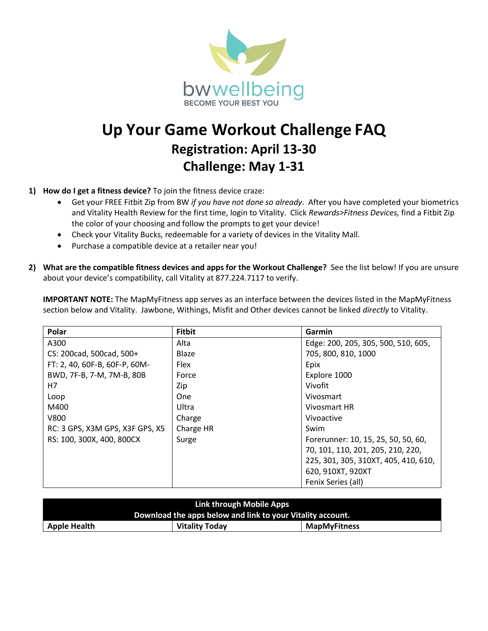

## **Up Your Game Workout Challenge FAQ Registration: April 13-30 Challenge: May 1-31**

## **1) How do I get a fitness device?** To join the fitness device craze:

- Get your FREE Fitbit Zip from BW *if you have not done so already*. After you have completed your biometrics and Vitality Health Review for the first time, login to Vitality. Click *Rewards>Fitness Devices,* find a Fitbit Zip the color of your choosing and follow the prompts to get your device!
- Check your Vitality Bucks, redeemable for a variety of devices in the Vitality Mall.
- Purchase a compatible device at a retailer near you!
- **2) What are the compatible fitness devices and apps for the Workout Challenge?** See the list below! If you are unsure about your device's compatibility, call Vitality at 877.224.7117 to verify.

**IMPORTANT NOTE:** The MapMyFitness app serves as an interface between the devices listed in the MapMyFitness section below and Vitality. Jawbone, Withings, Misfit and Other devices cannot be linked *directly* to Vitality.

| Polar                           | <b>Fitbit</b> | Garmin                               |
|---------------------------------|---------------|--------------------------------------|
| A300                            | Alta          | Edge: 200, 205, 305, 500, 510, 605,  |
| CS: 200cad, 500cad, 500+        | Blaze         | 705, 800, 810, 1000                  |
| FT: 2, 40, 60F-B, 60F-P, 60M-   | <b>Flex</b>   | Epix                                 |
| BWD, 7F-B, 7-M, 7M-B, 80B       | Force         | Explore 1000                         |
| H7                              | Zip           | Vivofit                              |
| Loop                            | One           | Vivosmart                            |
| M400                            | Ultra         | Vivosmart HR                         |
| V800                            | Charge        | Vivoactive                           |
| RC: 3 GPS, X3M GPS, X3F GPS, X5 | Charge HR     | Swim                                 |
| RS: 100, 300X, 400, 800CX       | Surge         | Forerunner: 10, 15, 25, 50, 50, 60,  |
|                                 |               | 70, 101, 110, 201, 205, 210, 220,    |
|                                 |               | 225, 301, 305, 310XT, 405, 410, 610, |
|                                 |               | 620, 910XT, 920XT                    |
|                                 |               | Fenix Series (all)                   |

| Link through Mobile Apps                                   |                       |                     |  |  |
|------------------------------------------------------------|-----------------------|---------------------|--|--|
| Download the apps below and link to your Vitality account. |                       |                     |  |  |
| <b>Apple Health</b>                                        | <b>Vitality Today</b> | <b>MapMyFitness</b> |  |  |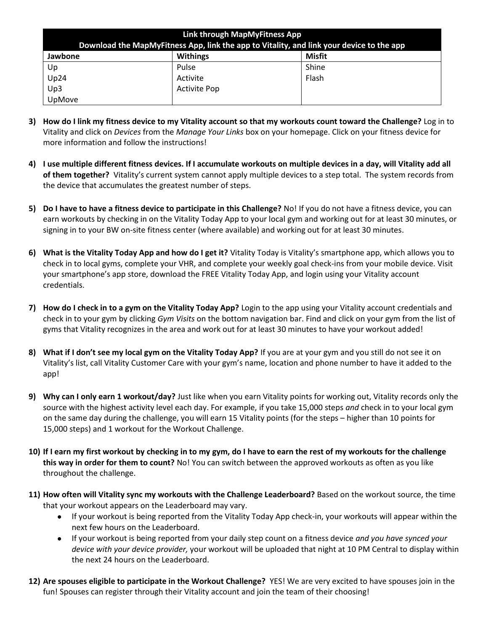| Link through MapMyFitness App                                                            |                     |        |  |  |
|------------------------------------------------------------------------------------------|---------------------|--------|--|--|
| Download the MapMyFitness App, link the app to Vitality, and link your device to the app |                     |        |  |  |
| Jawbone                                                                                  | <b>Withings</b>     | Misfit |  |  |
| Up                                                                                       | Pulse               | Shine  |  |  |
| Up24                                                                                     | Activite            | Flash  |  |  |
| Up3                                                                                      | <b>Activite Pop</b> |        |  |  |
| UpMove                                                                                   |                     |        |  |  |

- **3) How do I link my fitness device to my Vitality account so that my workouts count toward the Challenge?** Log in to Vitality and click on *Devices* from the *Manage Your Links* box on your homepage. Click on your fitness device for more information and follow the instructions!
- **4) I use multiple different fitness devices. If I accumulate workouts on multiple devices in a day, will Vitality add all of them together?** Vitality's current system cannot apply multiple devices to a step total. The system records from the device that accumulates the greatest number of steps.
- **5) Do I have to have a fitness device to participate in this Challenge?** No! If you do not have a fitness device, you can earn workouts by checking in on the Vitality Today App to your local gym and working out for at least 30 minutes, or signing in to your BW on-site fitness center (where available) and working out for at least 30 minutes.
- **6) What is the Vitality Today App and how do I get it?** Vitality Today is Vitality's smartphone app, which allows you to check in to local gyms, complete your VHR, and complete your weekly goal check-ins from your mobile device. Visit your smartphone's app store, download the FREE Vitality Today App, and login using your Vitality account credentials.
- **7) How do I check in to a gym on the Vitality Today App?** Login to the app using your Vitality account credentials and check in to your gym by clicking *Gym Visits* on the bottom navigation bar. Find and click on your gym from the list of gyms that Vitality recognizes in the area and work out for at least 30 minutes to have your workout added!
- **8) What if I don't see my local gym on the Vitality Today App?** If you are at your gym and you still do not see it on Vitality's list, call Vitality Customer Care with your gym's name, location and phone number to have it added to the app!
- **9) Why can I only earn 1 workout/day?** Just like when you earn Vitality points for working out, Vitality records only the source with the highest activity level each day. For example, if you take 15,000 steps *and* check in to your local gym on the same day during the challenge, you will earn 15 Vitality points (for the steps – higher than 10 points for 15,000 steps) and 1 workout for the Workout Challenge.
- **10) If I earn my first workout by checking in to my gym, do I have to earn the rest of my workouts for the challenge this way in order for them to count?** No! You can switch between the approved workouts as often as you like throughout the challenge.
- **11) How often will Vitality sync my workouts with the Challenge Leaderboard?** Based on the workout source, the time that your workout appears on the Leaderboard may vary.
	- If your workout is being reported from the Vitality Today App check-in, your workouts will appear within the next few hours on the Leaderboard.
	- If your workout is being reported from your daily step count on a fitness device *and you have synced your device with your device provider,* your workout will be uploaded that night at 10 PM Central to display within the next 24 hours on the Leaderboard.
- **12) Are spouses eligible to participate in the Workout Challenge?** YES! We are very excited to have spouses join in the fun! Spouses can register through their Vitality account and join the team of their choosing!